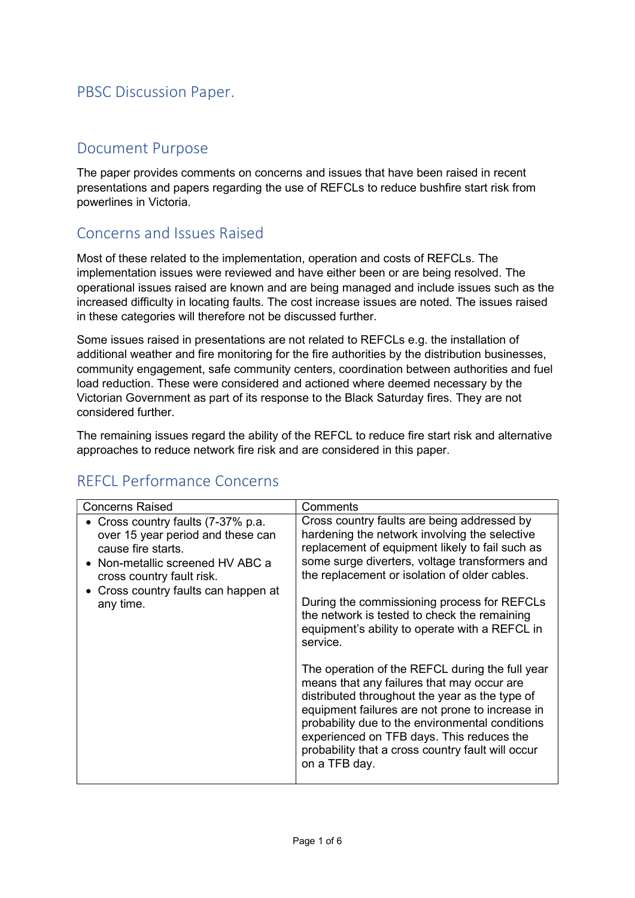## PBSC Discussion Paper.

### Document Purpose

The paper provides comments on concerns and issues that have been raised in recent presentations and papers regarding the use of REFCLs to reduce bushfire start risk from powerlines in Victoria.

## Concerns and Issues Raised

Most of these related to the implementation, operation and costs of REFCLs. The implementation issues were reviewed and have either been or are being resolved. The operational issues raised are known and are being managed and include issues such as the increased difficulty in locating faults. The cost increase issues are noted. The issues raised in these categories will therefore not be discussed further.

Some issues raised in presentations are not related to REFCLs e.g. the installation of additional weather and fire monitoring for the fire authorities by the distribution businesses, community engagement, safe community centers, coordination between authorities and fuel load reduction. These were considered and actioned where deemed necessary by the Victorian Government as part of its response to the Black Saturday fires. They are not considered further.

The remaining issues regard the ability of the REFCL to reduce fire start risk and alternative approaches to reduce network fire risk and are considered in this paper.

| <b>Concerns Raised</b>                                                                                                                                                                                            | Comments                                                                                                                                                                                                                                                                                                                                                                                                        |
|-------------------------------------------------------------------------------------------------------------------------------------------------------------------------------------------------------------------|-----------------------------------------------------------------------------------------------------------------------------------------------------------------------------------------------------------------------------------------------------------------------------------------------------------------------------------------------------------------------------------------------------------------|
| • Cross country faults (7-37% p.a.<br>over 15 year period and these can<br>cause fire starts.<br>• Non-metallic screened HV ABC a<br>cross country fault risk.<br>Cross country faults can happen at<br>any time. | Cross country faults are being addressed by<br>hardening the network involving the selective<br>replacement of equipment likely to fail such as<br>some surge diverters, voltage transformers and<br>the replacement or isolation of older cables.<br>During the commissioning process for REFCLs<br>the network is tested to check the remaining<br>equipment's ability to operate with a REFCL in<br>service. |
|                                                                                                                                                                                                                   | The operation of the REFCL during the full year<br>means that any failures that may occur are<br>distributed throughout the year as the type of<br>equipment failures are not prone to increase in<br>probability due to the environmental conditions<br>experienced on TFB days. This reduces the<br>probability that a cross country fault will occur<br>on a TFB day.                                        |

# REFCL Performance Concerns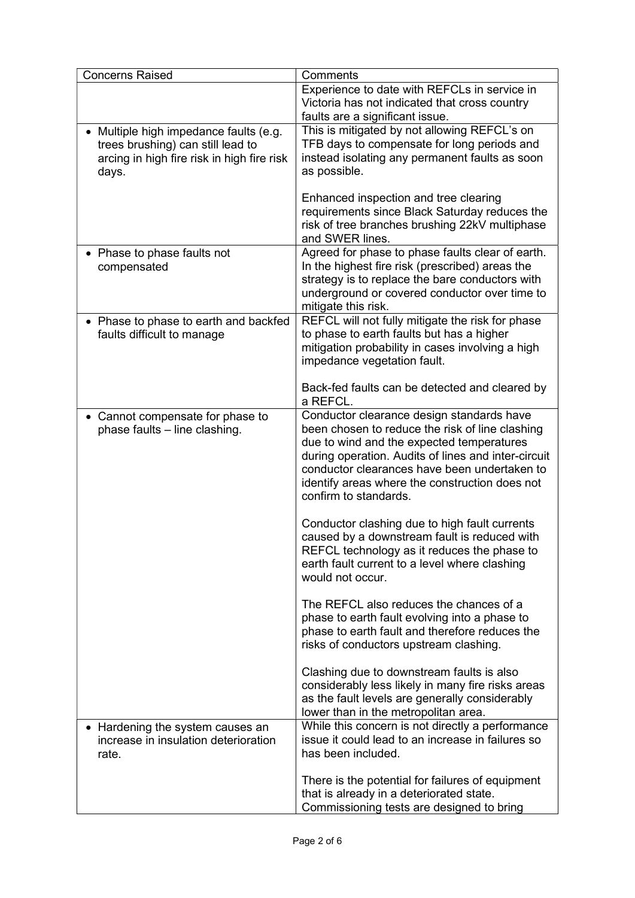| <b>Concerns Raised</b>                                                                                                           | Comments                                                                                                                                                                                                                                                                                                                    |  |  |  |
|----------------------------------------------------------------------------------------------------------------------------------|-----------------------------------------------------------------------------------------------------------------------------------------------------------------------------------------------------------------------------------------------------------------------------------------------------------------------------|--|--|--|
|                                                                                                                                  | Experience to date with REFCLs in service in<br>Victoria has not indicated that cross country<br>faults are a significant issue.                                                                                                                                                                                            |  |  |  |
| Multiple high impedance faults (e.g.<br>trees brushing) can still lead to<br>arcing in high fire risk in high fire risk<br>days. | This is mitigated by not allowing REFCL's on<br>TFB days to compensate for long periods and<br>instead isolating any permanent faults as soon<br>as possible.<br>Enhanced inspection and tree clearing                                                                                                                      |  |  |  |
|                                                                                                                                  | requirements since Black Saturday reduces the<br>risk of tree branches brushing 22kV multiphase<br>and SWER lines.                                                                                                                                                                                                          |  |  |  |
| • Phase to phase faults not<br>compensated                                                                                       | Agreed for phase to phase faults clear of earth.<br>In the highest fire risk (prescribed) areas the<br>strategy is to replace the bare conductors with<br>underground or covered conductor over time to<br>mitigate this risk.                                                                                              |  |  |  |
| • Phase to phase to earth and backfed<br>faults difficult to manage                                                              | REFCL will not fully mitigate the risk for phase<br>to phase to earth faults but has a higher<br>mitigation probability in cases involving a high<br>impedance vegetation fault.                                                                                                                                            |  |  |  |
|                                                                                                                                  | Back-fed faults can be detected and cleared by<br>a REFCL.                                                                                                                                                                                                                                                                  |  |  |  |
| • Cannot compensate for phase to<br>phase faults - line clashing.                                                                | Conductor clearance design standards have<br>been chosen to reduce the risk of line clashing<br>due to wind and the expected temperatures<br>during operation. Audits of lines and inter-circuit<br>conductor clearances have been undertaken to<br>identify areas where the construction does not<br>confirm to standards. |  |  |  |
|                                                                                                                                  | Conductor clashing due to high fault currents<br>caused by a downstream fault is reduced with<br>REFCL technology as it reduces the phase to<br>earth fault current to a level where clashing<br>would not occur.                                                                                                           |  |  |  |
|                                                                                                                                  | The REFCL also reduces the chances of a<br>phase to earth fault evolving into a phase to<br>phase to earth fault and therefore reduces the<br>risks of conductors upstream clashing.                                                                                                                                        |  |  |  |
|                                                                                                                                  | Clashing due to downstream faults is also<br>considerably less likely in many fire risks areas<br>as the fault levels are generally considerably<br>lower than in the metropolitan area.                                                                                                                                    |  |  |  |
| • Hardening the system causes an<br>increase in insulation deterioration<br>rate.                                                | While this concern is not directly a performance<br>issue it could lead to an increase in failures so<br>has been included.                                                                                                                                                                                                 |  |  |  |
|                                                                                                                                  | There is the potential for failures of equipment<br>that is already in a deteriorated state.<br>Commissioning tests are designed to bring                                                                                                                                                                                   |  |  |  |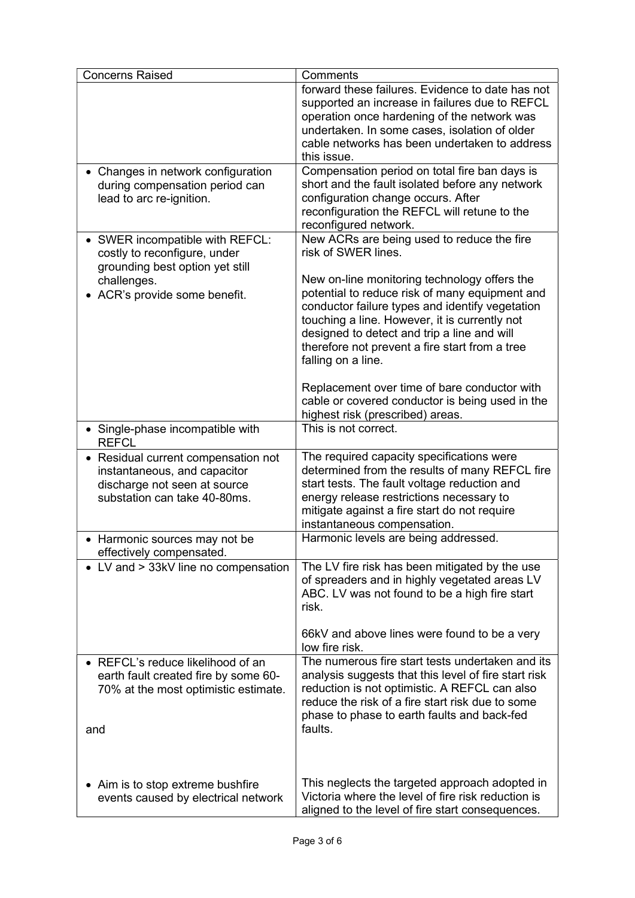| <b>Concerns Raised</b>                                                                                                            | Comments                                                                                                                                                                                                                                                                                                                  |
|-----------------------------------------------------------------------------------------------------------------------------------|---------------------------------------------------------------------------------------------------------------------------------------------------------------------------------------------------------------------------------------------------------------------------------------------------------------------------|
|                                                                                                                                   | forward these failures. Evidence to date has not<br>supported an increase in failures due to REFCL<br>operation once hardening of the network was<br>undertaken. In some cases, isolation of older<br>cable networks has been undertaken to address<br>this issue.                                                        |
| • Changes in network configuration<br>during compensation period can<br>lead to arc re-ignition.                                  | Compensation period on total fire ban days is<br>short and the fault isolated before any network<br>configuration change occurs. After<br>reconfiguration the REFCL will retune to the<br>reconfigured network.                                                                                                           |
| • SWER incompatible with REFCL:<br>costly to reconfigure, under<br>grounding best option yet still                                | New ACRs are being used to reduce the fire<br>risk of SWER lines.                                                                                                                                                                                                                                                         |
| challenges.<br>ACR's provide some benefit.                                                                                        | New on-line monitoring technology offers the<br>potential to reduce risk of many equipment and<br>conductor failure types and identify vegetation<br>touching a line. However, it is currently not<br>designed to detect and trip a line and will<br>therefore not prevent a fire start from a tree<br>falling on a line. |
|                                                                                                                                   | Replacement over time of bare conductor with<br>cable or covered conductor is being used in the<br>highest risk (prescribed) areas.                                                                                                                                                                                       |
| • Single-phase incompatible with<br><b>REFCL</b>                                                                                  | This is not correct.                                                                                                                                                                                                                                                                                                      |
| Residual current compensation not<br>instantaneous, and capacitor<br>discharge not seen at source<br>substation can take 40-80ms. | The required capacity specifications were<br>determined from the results of many REFCL fire<br>start tests. The fault voltage reduction and<br>energy release restrictions necessary to<br>mitigate against a fire start do not require<br>instantaneous compensation.                                                    |
| • Harmonic sources may not be<br>effectively compensated.                                                                         | Harmonic levels are being addressed.                                                                                                                                                                                                                                                                                      |
| • LV and > 33kV line no compensation                                                                                              | The LV fire risk has been mitigated by the use<br>of spreaders and in highly vegetated areas LV<br>ABC. LV was not found to be a high fire start<br>risk.<br>66kV and above lines were found to be a very<br>low fire risk.                                                                                               |
| • REFCL's reduce likelihood of an<br>earth fault created fire by some 60-<br>70% at the most optimistic estimate.<br>and          | The numerous fire start tests undertaken and its<br>analysis suggests that this level of fire start risk<br>reduction is not optimistic. A REFCL can also<br>reduce the risk of a fire start risk due to some<br>phase to phase to earth faults and back-fed<br>faults.                                                   |
| • Aim is to stop extreme bushfire<br>events caused by electrical network                                                          | This neglects the targeted approach adopted in<br>Victoria where the level of fire risk reduction is<br>aligned to the level of fire start consequences.                                                                                                                                                                  |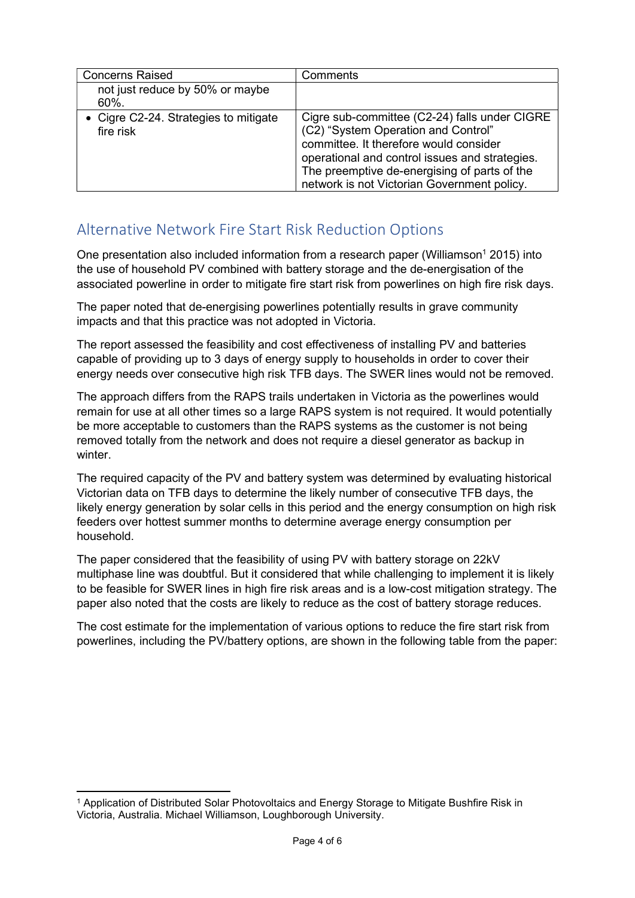| <b>Concerns Raised</b>                             | Comments                                                                                                                                                                                                                                                                        |
|----------------------------------------------------|---------------------------------------------------------------------------------------------------------------------------------------------------------------------------------------------------------------------------------------------------------------------------------|
| not just reduce by 50% or maybe<br>$60\%$ .        |                                                                                                                                                                                                                                                                                 |
| • Cigre C2-24. Strategies to mitigate<br>fire risk | Cigre sub-committee (C2-24) falls under CIGRE<br>(C2) "System Operation and Control"<br>committee. It therefore would consider<br>operational and control issues and strategies.<br>The preemptive de-energising of parts of the<br>network is not Victorian Government policy. |

# Alternative Network Fire Start Risk Reduction Options

One presentation also included information from a research paper (Williamson<sup>1</sup> 2015) into the use of household PV combined with battery storage and the de-energisation of the associated powerline in order to mitigate fire start risk from powerlines on high fire risk days.

The paper noted that de-energising powerlines potentially results in grave community impacts and that this practice was not adopted in Victoria.

The report assessed the feasibility and cost effectiveness of installing PV and batteries capable of providing up to 3 days of energy supply to households in order to cover their energy needs over consecutive high risk TFB days. The SWER lines would not be removed.

The approach differs from the RAPS trails undertaken in Victoria as the powerlines would remain for use at all other times so a large RAPS system is not required. It would potentially be more acceptable to customers than the RAPS systems as the customer is not being removed totally from the network and does not require a diesel generator as backup in winter.

The required capacity of the PV and battery system was determined by evaluating historical Victorian data on TFB days to determine the likely number of consecutive TFB days, the likely energy generation by solar cells in this period and the energy consumption on high risk feeders over hottest summer months to determine average energy consumption per household.

The paper considered that the feasibility of using PV with battery storage on 22kV multiphase line was doubtful. But it considered that while challenging to implement it is likely to be feasible for SWER lines in high fire risk areas and is a low-cost mitigation strategy. The paper also noted that the costs are likely to reduce as the cost of battery storage reduces.

The cost estimate for the implementation of various options to reduce the fire start risk from powerlines, including the PV/battery options, are shown in the following table from the paper:

<sup>1</sup> Application of Distributed Solar Photovoltaics and Energy Storage to Mitigate Bushfire Risk in Victoria, Australia. Michael Williamson, Loughborough University.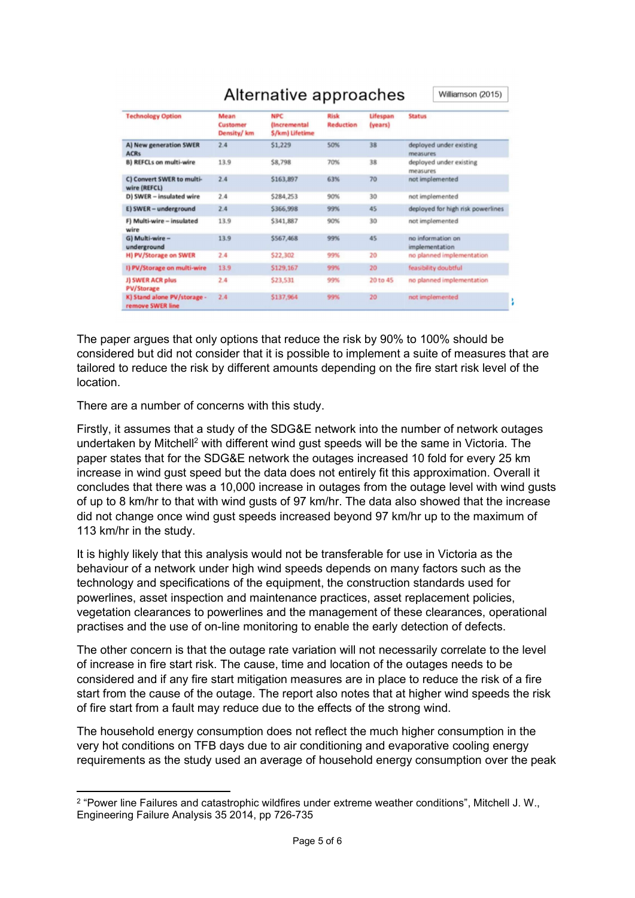|                                                 | Alternative approaches<br>Williamson (2015) |                                                     |                                 |                     |                                     |
|-------------------------------------------------|---------------------------------------------|-----------------------------------------------------|---------------------------------|---------------------|-------------------------------------|
| <b>Technology Option</b>                        | Mean<br>Customer<br>Density/km              | <b>NPC</b><br>(Incremental<br><b>S/km) Lifetime</b> | <b>Risk</b><br><b>Reduction</b> | Lifespan<br>(years) | <b>Status</b>                       |
| A) New generation SWER<br><b>ACRs</b>           | 2.4                                         | \$1,229                                             | 50%                             | 38                  | deployed under existing<br>measures |
| <b>B) REFCLs on multi-wire</b>                  | 13.9                                        | \$8,798                                             | 70%                             | 38                  | deployed under existing<br>measures |
| C) Convert SWER to multi-<br>wire (REFCL)       | 2.4                                         | \$163,897                                           | 63%                             | 70                  | not implemented                     |
| D) SWER - insulated wire                        | 2.4                                         | \$284,253                                           | 90%                             | 30                  | not implemented                     |
| E) SWER - underground                           | 2.4                                         | \$366,998                                           | 99%                             | 45                  | deployed for high risk powerlines   |
| F) Multi-wire - insulated<br>wire               | 13.9                                        | \$341,887                                           | 90%                             | 30                  | not implemented                     |
| G) Multi-wire -<br>underground                  | 13.9                                        | \$567,468                                           | 99%                             | 45                  | no information on<br>implementation |
| H) PV/Storage on SWER                           | 2.4                                         | \$22,302                                            | 99%                             | 20                  | no planned implementation           |
| I) PV/Storage on multi-wire                     | 13.9                                        | \$129,167                                           | 99%                             | 20                  | feasibility doubtful                |
| J) SWER ACR plus<br><b>PV/Storage</b>           | 2.4                                         | \$23,531                                            | 99%                             | 20 to 45            | no planned implementation           |
| K) Stand alone PV/storage -<br>remove SWER line | 2.4                                         | \$137,964                                           | 99%                             | 20                  | not implemented                     |

#### The paper argues that only options that reduce the risk by 90% to 100% should be considered but did not consider that it is possible to implement a suite of measures that are tailored to reduce the risk by different amounts depending on the fire start risk level of the location.

There are a number of concerns with this study.

Firstly, it assumes that a study of the SDG&E network into the number of network outages undertaken by Mitchell<sup>2</sup> with different wind gust speeds will be the same in Victoria. The paper states that for the SDG&E network the outages increased 10 fold for every 25 km increase in wind gust speed but the data does not entirely fit this approximation. Overall it concludes that there was a 10,000 increase in outages from the outage level with wind gusts of up to 8 km/hr to that with wind gusts of 97 km/hr. The data also showed that the increase did not change once wind gust speeds increased beyond 97 km/hr up to the maximum of 113 km/hr in the study.

It is highly likely that this analysis would not be transferable for use in Victoria as the behaviour of a network under high wind speeds depends on many factors such as the technology and specifications of the equipment, the construction standards used for powerlines, asset inspection and maintenance practices, asset replacement policies, vegetation clearances to powerlines and the management of these clearances, operational practises and the use of on-line monitoring to enable the early detection of defects.

The other concern is that the outage rate variation will not necessarily correlate to the level of increase in fire start risk. The cause, time and location of the outages needs to be considered and if any fire start mitigation measures are in place to reduce the risk of a fire start from the cause of the outage. The report also notes that at higher wind speeds the risk of fire start from a fault may reduce due to the effects of the strong wind.

The household energy consumption does not reflect the much higher consumption in the very hot conditions on TFB days due to air conditioning and evaporative cooling energy requirements as the study used an average of household energy consumption over the peak

 $^2$  "Power line Failures and catastrophic wildfires under extreme weather conditions", Mitchell J. W., Engineering Failure Analysis 35 2014, pp 726-735